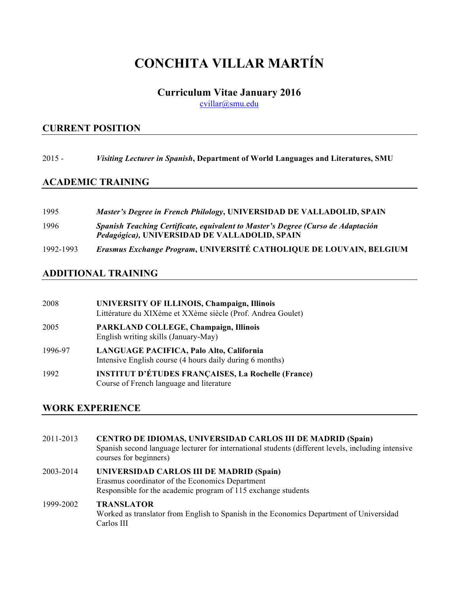# **CONCHITA VILLAR MARTÍN**

### **Curriculum Vitae January 2016**

cvillar@smu.edu

#### **CURRENT POSITION**

#### 2015 - *Visiting Lecturer in Spanish***, Department of World Languages and Literatures, SMU**

#### **ACADEMIC TRAINING**

| 1995 |  |  | <b>Master's Degree in French Philology, UNIVERSIDAD DE VALLADOLID, SPAIN</b> |  |  |
|------|--|--|------------------------------------------------------------------------------|--|--|
|------|--|--|------------------------------------------------------------------------------|--|--|

- 1996 *Spanish Teaching Certificate, equivalent to Master's Degree (Curso de Adaptación Pedagógica),* **UNIVERSIDAD DE VALLADOLID, SPAIN**
- 1992-1993 *Erasmus Exchange Program***, UNIVERSITÉ CATHOLIQUE DE LOUVAIN, BELGIUM**

## **ADDITIONAL TRAINING**

| 2008    | <b>UNIVERSITY OF ILLINOIS, Champaign, Illinois</b><br>Littérature du XIXème et XXème siècle (Prof. Andrea Goulet) |  |
|---------|-------------------------------------------------------------------------------------------------------------------|--|
| 2005    | PARKLAND COLLEGE, Champaign, Illinois<br>English writing skills (January-May)                                     |  |
| 1996-97 | LANGUAGE PACIFICA, Palo Alto, California<br>Intensive English course (4 hours daily during 6 months)              |  |
| 1992    | <b>INSTITUT D'ÉTUDES FRANÇAISES, La Rochelle (France)</b>                                                         |  |

Course of French language and literature

#### **WORK EXPERIENCE**

2011-2013 **CENTRO DE IDIOMAS, UNIVERSIDAD CARLOS III DE MADRID (Spain)** Spanish second language lecturer for international students (different levels, including intensive courses for beginners)

2003-2014 **UNIVERSIDAD CARLOS III DE MADRID (Spain)** Erasmus coordinator of the Economics Department Responsible for the academic program of 115 exchange students

#### 1999-2002 **TRANSLATOR** Worked as translator from English to Spanish in the Economics Department of Universidad Carlos III